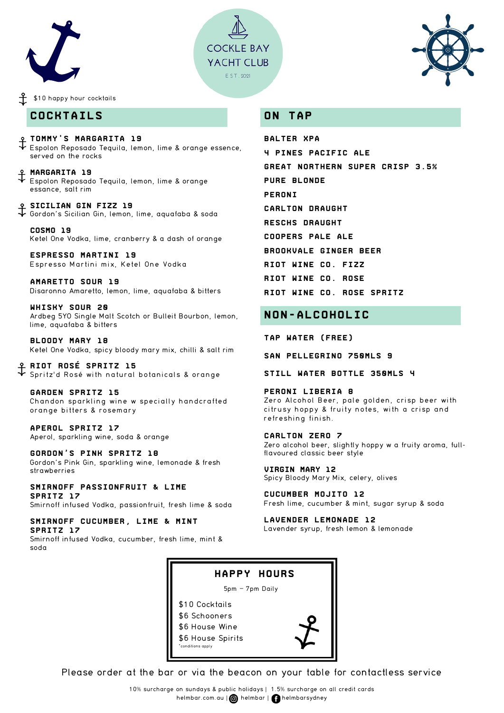





#### \$10 happy hour cocktails

### **COCKTAILS**

**tommy's Margarita 19** Espolon Reposado Tequila, lemon, lime & orange essence, served on the rocks

**Margarita 19** Espolon Reposado Tequila, lemon, lime & orange essance, salt rim

**Sicilian Gin Fizz 19** Gordon's Sicilian Gin, lemon, lime, aquafaba & soda

**Cosmo 19** Ketel One Vodka, lime, cranberry & a dash of orange

**Espresso Martini 19** Espresso Martini mix, Ketel One Vodka

**Amaretto Sour 19** Disaronno Amaretto, lemon, lime, aquafaba & bitters

**Whisky Sour 20** Ardbeg 5YO Single Malt Scotch or Bulleit Bourbon, lemon, lime, aquafaba & bitters

**Bloody Mary 18** Ketel One Vodka, spicy bloody mary mix, chilli & salt rim

**Riot Rosé Spritz 15** Spritz'd Rosé with natural botanicals & orange

**garden spritz 15** Chandon sparkling wine w specially handcrafted orange bitters & rosemary

**Aperol Spritz 17** Aperol, sparkling wine, soda & orange

**Gordon's Pink Spritz 18** Gordon's Pink Gin, sparkling wine, lemonade & fresh strawberries

#### **Smirnoff Passionfruit & Lime Spritz 17**

Smirnoff infused Vodka, passionfruit, fresh lime & soda

#### **Smirnoff Cucumber, Lime & Mint Spritz 17**

Smirnoff infused Vodka, cucumber, fresh lime, mint & soda

### **ON TAP**

**Balter XPA 4 Pines Pacific Ale Great Northern Super Crisp 3.5% Pure Blonde Peroni Carlton Draught Reschs Draught Coopers Pale Ale Brookvale Ginger Beer Riot wine co. FIZZ Riot wine co. Rose Riot wine co. Rose Spritz**

# **NON-ALCOHOLIC**

**Tap water (Free)**

**San pellegrino 750mls 9**

**Still water bottle 350mls 4**

**Peroni liberia 8** Zero Alcohol Beer, pale golden, crisp beer with citrusy hoppy & fruity notes, with a crisp and refreshing finish.

**Carlton Zero 7** Zero alcohol beer, slightly hoppy w a fruity aroma, fullflavoured classic beer style

**Virgin Mary 12** Spicy Bloody Mary Mix, celery, olives

**Cucumber Mojito 12** Fresh lime, cucumber & mint, sugar syrup & soda

**Lavender Lemonade 12** Lavender syrup, fresh lemon & lemonade



Please order at the bar or via the beacon on your table for contactless service